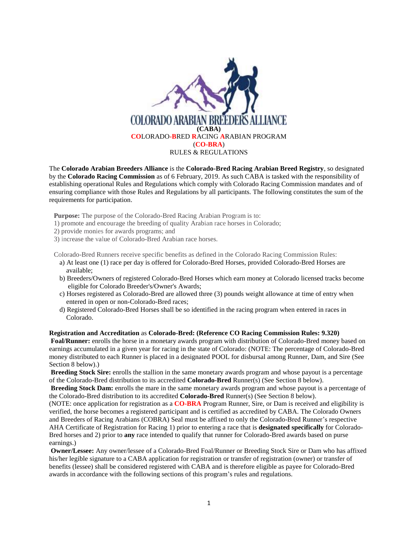

The **Colorado Arabian Breeders Alliance** is the **Colorado-Bred Racing Arabian Breed Registry**, so designated by the **Colorado Racing Commission** as of 6 February, 2019. As such CABA is tasked with the responsibility of establishing operational Rules and Regulations which comply with Colorado Racing Commission mandates and of ensuring compliance with those Rules and Regulations by all participants. The following constitutes the sum of the requirements for participation.

**Purpose:** The purpose of the Colorado-Bred Racing Arabian Program is to:

- 1) promote and encourage the breeding of quality Arabian race horses in Colorado;
- 2) provide monies for awards programs; and
- 3) increase the value of Colorado-Bred Arabian race horses.

Colorado-Bred Runners receive specific benefits as defined in the Colorado Racing Commission Rules:

- a) At least one (1) race per day is offered for Colorado-Bred Horses, provided Colorado-Bred Horses are available;
- b) Breeders/Owners of registered Colorado-Bred Horses which earn money at Colorado licensed tracks become eligible for Colorado Breeder's/Owner's Awards;
- c) Horses registered as Colorado-Bred are allowed three (3) pounds weight allowance at time of entry when entered in open or non-Colorado-Bred races;
- d) Registered Colorado-Bred Horses shall be so identified in the racing program when entered in races in Colorado.

#### **Registration and Accreditation** as **Colorado-Bred: (Reference CO Racing Commission Rules: 9.320)**

**Foal/Runner:** enrolls the horse in a monetary awards program with distribution of Colorado-Bred money based on earnings accumulated in a given year for racing in the state of Colorado: (NOTE: The percentage of Colorado-Bred money distributed to each Runner is placed in a designated POOL for disbursal among Runner, Dam, and Sire (See Section 8 below).)

**Breeding Stock Sire:** enrolls the stallion in the same monetary awards program and whose payout is a percentage of the Colorado-Bred distribution to its accredited **Colorado-Bred** Runner(s) (See Section 8 below).

**Breeding Stock Dam:** enrolls the mare in the same monetary awards program and whose payout is a percentage of the Colorado-Bred distribution to its accredited **Colorado-Bred** Runner(s) (See Section 8 below).

(NOTE: once application for registration as a **CO-BRA** Program Runner, Sire, or Dam is received and eligibility is verified, the horse becomes a registered participant and is certified as accredited by CABA. The Colorado Owners and Breeders of Racing Arabians (COBRA) Seal must be affixed to only the Colorado-Bred Runner's respective AHA Certificate of Registration for Racing 1) prior to entering a race that is **designated specifically** for Colorado-Bred horses and 2) prior to **any** race intended to qualify that runner for Colorado-Bred awards based on purse earnings.)

**Owner/Lessee:** Any owner/lessee of a Colorado-Bred Foal/Runner or Breeding Stock Sire or Dam who has affixed his/her legible signature to a CABA application for registration or transfer of registration (owner) or transfer of benefits (lessee) shall be considered registered with CABA and is therefore eligible as payee for Colorado-Bred awards in accordance with the following sections of this program's rules and regulations.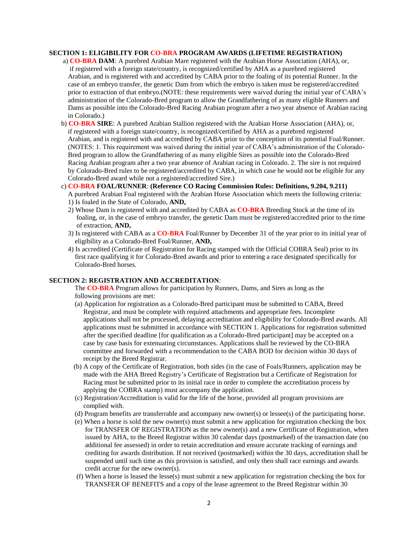## **SECTION 1: ELIGIBILITY FOR CO-BRA PROGRAM AWARDS (LIFETIME REGISTRATION)**

- a) **CO-BRA DAM**: A purebred Arabian Mare registered with the Arabian Horse Association (AHA), or, if registered with a foreign state/country, is recognized/certified by AHA as a purebred registered Arabian, and is registered with and accredited by CABA prior to the foaling of its potential Runner. In the case of an embryo transfer, the genetic Dam from which the embryo is taken must be registered/accredited prior to extraction of that embryo.(NOTE: these requirements were waived during the initial year of CABA's administration of the Colorado-Bred program to allow the Grandfathering of as many eligible Runners and Dams as possible into the Colorado-Bred Racing Arabian program after a two year absence of Arabian racing in Colorado.)
- b) **CO-BRA SIRE**: A purebred Arabian Stallion registered with the Arabian Horse Association (AHA), or, if registered with a foreign state/country, is recognized/certified by AHA as a purebred registered Arabian, and is registered with and accredited by CABA prior to the conception of its potential Foal/Runner. (NOTES: 1. This requirement was waived during the initial year of CABA's administration of the Colorado- Bred program to allow the Grandfathering of as many eligible Sires as possible into the Colorado-Bred Racing Arabian program after a two year absence of Arabian racing in Colorado. 2. The sire is not required by Colorado-Bred rules to be registered/accredited by CABA, in which case he would not be eligible for any Colorado-Bred award while not a registered/accredited Sire.)
- c) **CO-BRA FOAL/RUNNER**: **(Reference CO Racing Commission Rules: Definitions, 9.204, 9.211)** A purebred Arabian Foal registered with the Arabian Horse Association which meets the following criteria: 1) Is foaled in the State of Colorado, **AND,**
	- 2) Whose Dam is registered with and accredited by CABA as **CO-BRA** Breeding Stock at the time of its foaling, or, in the case of embryo transfer, the genetic Dam must be registered/accredited prior to the time of extraction, **AND,**
	- 3) Is registered with CABA as a **CO-BRA** Foal/Runner by December 31 of the year prior to its initial year of eligibility as a Colorado-Bred Foal/Runner, **AND,**
	- 4) Is accredited (Certificate of Registration for Racing stamped with the Official COBRA Seal) prior to its first race qualifying it for Colorado-Bred awards and prior to entering a race designated specifically for Colorado-Bred horses.

#### **SECTION 2: REGISTRATION AND ACCREDITATION**:

 The **CO-BRA** Program allows for participation by Runners, Dams, and Sires as long as the following provisions are met:

- (a) Application for registration as a Colorado-Bred participant must be submitted to CABA, Breed Registrar, and must be complete with required attachments and appropriate fees. Incomplete applications shall not be processed, delaying accreditation and eligibility for Colorado-Bred awards. All applications must be submitted in accordance with SECTION 1. Applications for registration submitted after the specified deadline [for qualification as a Colorado-Bred participant] may be accepted on a case by case basis for extenuating circumstances. Applications shall be reviewed by the CO-BRA committee and forwarded with a recommendation to the CABA BOD for decision within 30 days of receipt by the Breed Registrar.
- (b) A copy of the Certificate of Registration, both sides (in the case of Foals/Runners, application may be made with the AHA Breed Registry's Certificate of Registration but a Certificate of Registration for Racing must be submitted prior to its initial race in order to complete the accreditation process by applying the COBRA stamp) must accompany the application.
- (c) Registration/Accreditation is valid for the life of the horse, provided all program provisions are complied with.
- (d) Program benefits are transferrable and accompany new owner(s) or lessee(s) of the participating horse.
- (e) When a horse is sold the new owner(s) must submit a new application for registration checking the box for TRANSFER OF REGISTRATION as the new owner(s) and a new Certificate of Registration, when issued by AHA, to the Breed Registrar within 30 calendar days (postmarked) of the transaction date (no additional fee assessed) in order to retain accreditation and ensure accurate tracking of earnings and crediting for awards distribution. If not received (postmarked) within the 30 days, accreditation shall be suspended until such time as this provision is satisfied, and only then shall race earnings and awards credit accrue for the new owner(s).
- (f) When a horse is leased the lesse(s) must submit a new application for registration checking the box for TRANSFER OF BENEFITS and a copy of the lease agreement to the Breed Registrar within 30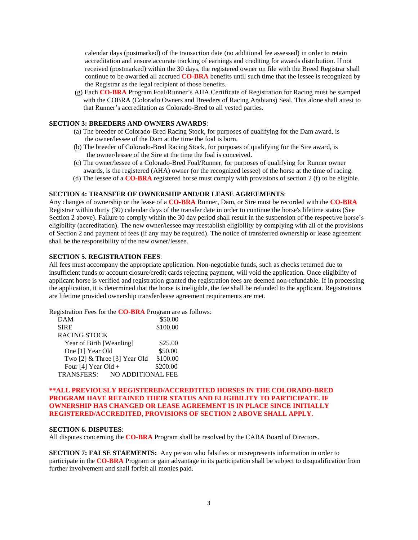calendar days (postmarked) of the transaction date (no additional fee assessed) in order to retain accreditation and ensure accurate tracking of earnings and crediting for awards distribution. If not received (postmarked) within the 30 days, the registered owner on file with the Breed Registrar shall continue to be awarded all accrued **CO-BRA** benefits until such time that the lessee is recognized by the Registrar as the legal recipient of those benefits.

 (g) Each **CO-BRA** Program Foal/Runner's AHA Certificate of Registration for Racing must be stamped with the COBRA (Colorado Owners and Breeders of Racing Arabians) Seal. This alone shall attest to that Runner's accreditation as Colorado-Bred to all vested parties.

## **SECTION 3: BREEDERS AND OWNERS AWARDS**:

- (a) The breeder of Colorado-Bred Racing Stock, for purposes of qualifying for the Dam award, is the owner/lessee of the Dam at the time the foal is born.
- (b) The breeder of Colorado-Bred Racing Stock, for purposes of qualifying for the Sire award, is the owner/lessee of the Sire at the time the foal is conceived.
- (c) The owner/lessee of a Colorado-Bred Foal/Runner, for purposes of qualifying for Runner owner awards, is the registered (AHA) owner (or the recognized lessee) of the horse at the time of racing.
- (d) The lessee of a **CO-BRA** registered horse must comply with provisions of section 2 (f) to be eligible.

#### **SECTION 4: TRANSFER OF OWNERSHIP AND/OR LEASE AGREEMENTS**:

Any changes of ownership or the lease of a **CO-BRA** Runner, Dam, or Sire must be recorded with the **CO-BRA** Registrar within thirty (30) calendar days of the transfer date in order to continue the horse's lifetime status (See Section 2 above). Failure to comply within the 30 day period shall result in the suspension of the respective horse's eligibility (accreditation). The new owner/lessee may reestablish eligibility by complying with all of the provisions of Section 2 and payment of fees (if any may be required). The notice of transferred ownership or lease agreement shall be the responsibility of the new owner/lessee.

## **SECTION 5. REGISTRATION FEES**:

All fees must accompany the appropriate application. Non-negotiable funds, such as checks returned due to insufficient funds or account closure/credit cards rejecting payment, will void the application. Once eligibility of applicant horse is verified and registration granted the registration fees are deemed non-refundable. If in processing the application, it is determined that the horse is ineligible, the fee shall be refunded to the applicant. Registrations are lifetime provided ownership transfer/lease agreement requirements are met.

Registration Fees for the **CO-BRA** Program are as follows:

| \$50.00           |
|-------------------|
| \$100.00          |
|                   |
| \$25.00           |
| \$50.00           |
| \$100.00          |
| \$200.00          |
| NO ADDITIONAL FEE |
|                   |

## **\*\*ALL PREVIOUSLY REGISTERED/ACCREDTITED HORSES IN THE COLORADO-BRED PROGRAM HAVE RETAINED THEIR STATUS AND ELIGIBILITY TO PARTICIPATE. IF OWNERSHIP HAS CHANGED OR LEASE AGREEMENT IS IN PLACE SINCE INITIALLY REGISTERED/ACCREDITED, PROVISIONS OF SECTION 2 ABOVE SHALL APPLY.**

# **SECTION 6. DISPUTES**:

All disputes concerning the **CO-BRA** Program shall be resolved by the CABA Board of Directors.

**SECTION 7: FALSE STAEMENTS:** Any person who falsifies or misrepresents information in order to participate in the **CO-BRA** Program or gain advantage in its participation shall be subject to disqualification from further involvement and shall forfeit all monies paid.